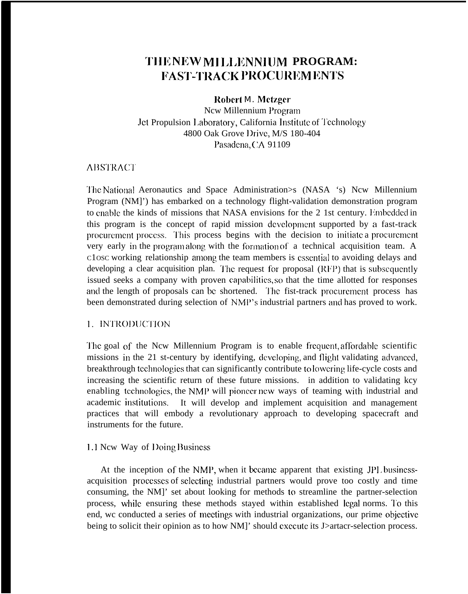# THENEW MILLENNIUM PROGRAM: **FAST-TRACK PROCUREMENTS**

## Robert M. Metzger

New Millennium Program Jet Propulsion Laboratory, California Institute of Technology 4800 Oak Grove Drive, M/S 180-404 Pasadena, CA 91109

## **ABSTRACT**

The National Aeronautics and Space Administration>s (NASA 's) New Millennium Program (NM]') has embarked on a technology flight-validation demonstration program to enable the kinds of missions that NASA envisions for the 2 1st century. Embedded in this program is the concept of rapid mission development supported by a fast-track procurement process. This process begins with the decision to initiate a procurement very early in the program along with the formation of a technical acquisition team. A close working relationship among the team members is essential to avoiding delays and developing a clear acquisition plan. The request for proposal (RFP) that is subsequently issued seeks a company with proven capabilities, so that the time allotted for responses and the length of proposals can be shortened. The fist-track procurement process has been demonstrated during selection of NMP's industrial partners and has proved to work.

#### 1. INTRODUCTION

The goal of the Ncw Millennium Program is to enable frequent affordable scientific missions in the 21 st-century by identifying, developing, and flight validating advanced, breakthrough technologies that can significantly contribute to lowering life-cycle costs and increasing the scientific return of these future missions. in addition to validating key enabling technologies, the NMP will pioneer new ways of teaming with industrial and academic institutions. It will develop and implement acquisition and management practices that will embody a revolutionary approach to developing spacecraft and instruments for the future.

# 1.1 New Way of Doing Business

At the inception of the NMP, when it became apparent that existing JPL businessacquisition processes of selecting industrial partners would prove too costly and time consuming, the NM]' set about looking for methods to streamline the partner-selection process, while ensuring these methods stayed within established legal norms. To this end, we conducted a series of meetings with industrial organizations, our prime objective being to solicit their opinion as to how NM]' should execute its J>artacr-selection process.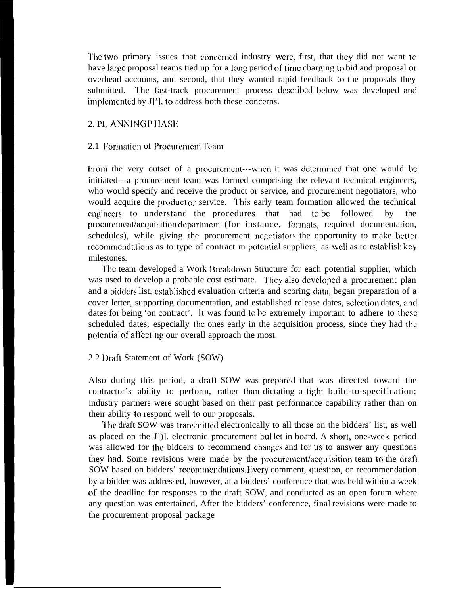The two primary issues that concerned industry were, first, that they did not want to have large proposal teams tied up for a long period of time charging to bid and proposal or overhead accounts, and second, that they wanted rapid feedback to the proposals they submitted. The fast-track procurement process described below was developed and implemented by  $J$ ]'], to address both these concerns.

# 2. PI, ANNINGPHASE

## 2.1 Formation of Procurement Team

From the very outset of a procurement---when it was determined that one would be initiated---a procurement team was formed comprising the relevant technical engineers, who would specify and receive the product or service, and procurement negotiators, who would acquire the product or service. This early team formation allowed the technical cnginccrs to understand the procedures that had to bc followed by the procurement/acquisition department (for instance, formats, required documentation, schedules), while giving the procurement negotiators the opportunity to make better recommendations as to type of contract m potential suppliers, as well as to establish key milestones.

The team developed a Work Breakdown Structure for each potential supplier, which was used to develop a probable cost estimate. They also developed a procurement plan and a bidders list, established evaluation criteria and scoring data, began preparation of a cover letter, supporting documentation, and established release dates, sclection dates, and dates for being 'on contract'. It was found to be extremely important to adhere to these scheduled dates, especially the ones early in the acquisition process, since they had the potential of affecting our overall approach the most.

#### 2.2 l)raft Statement of Work (SOW)

Also during this period, a draft SOW was prcpareci that was directed toward the contractor's ability to perform, rather than dictating a tight build-to-specification; industry partners were sought based on their past performance capability rather than on their ability to respond well to our proposals.

The draft SOW was transmitted electronically to all those on the bidders' list, as well as placed on the J[]]. electronic procurement bul let in board. A short, one-week period was allowed for the bidders to recommend changes and for us to answer any questions they had. Some revisions were made by the procurement/acquisition team to the draft SOW based on bidders' recommendations. Every comment, question, or recommendation by a bidder was addressed, however, at a bidders' conference that was held within a week of the deadline for responses to the draft SOW, and conducted as an open forum where any question was entertained, After the bidders' conference, final revisions were made to the procurement proposal package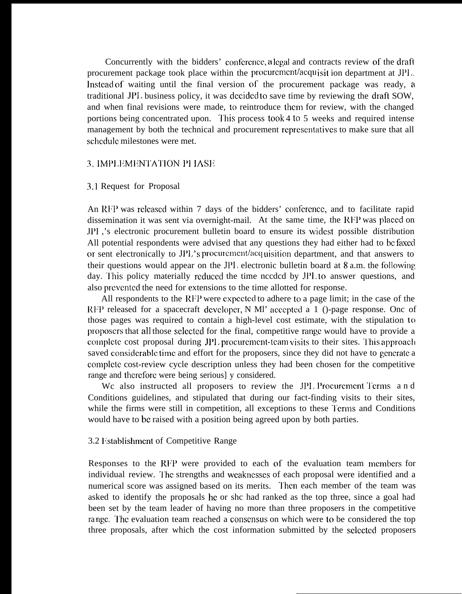Concurrently with the bidders' conference, a legal and contracts review of the draft procurement package took place within the procurement/acquisit ion department at  $JPL$ . Instead of waiting until the final version of the procurement package was ready, a traditional J1'I. business policy, it was dccidcd to save time by reviewing the draft SOW, and when final revisions were made, to reintroduce thcm for review, with the changed portions being concentrated upon. This process took 4 to 5 weeks and required intense management by both the technical and procurement rcprcscntativcs to make sure that all schcdu]c milestones were met.

### 3. IMPLEMENTATION PI IASE

#### 3.1 Request for Proposal

An RFP was released within 7 days of the bidders' conference, and to facilitate rapid dissemination it was sent via overnight-mail. At the same time, the RFP was placed on .II'I ,'s electronic procurement bulletin board to ensure its wiclcst possible distribution All potential respondents were advised that any questions they had either had to be faxed or sent electronically to JPL's procurement/acquisition department, and that answers to their questions would appear on the JPL electronic bulletin board at  $8$  a.m. the following day. This policy materially reduced the time needed by JPL to answer questions, and also prcvcntcd the need for extensions to the time allotted for response.

All respondents to the RFP were expected to adhere to a page limit; in the case of the  $R$ I<sup>:</sup>P released for a spacecraft developer, N Ml' accepted a 1 ()-page response. Onc of those pages was required to contain a high-level cost estimate, with the stipulation to proposers that all those selected for the final, competitive range would have to provide a complete cost proposal during JPL procurement-team visits to their sites. This approach saved considerable time and effort for the proposers, since they did not have to generate a complctc cost-review cycle description unless they had been chosen for the competitive range and thcrcforc were being serious] y considered.

Wc also instructed all proposers to review the JPL Procurement Terms and Conditions guidelines, and stipulated that during our fact-finding visits to their sites, while the firms were still in competition, all exceptions to these Terms and Conditions would have to bc raised with a position being agreed upon by both parties.

#### 3.2 l;stablishmcnt of Competitive Range

Responses to the RFP were provided to each of the evaluation team members for individual review. The strengths and wcaknesses of each proposal were identified and a numerical score was assigned based on its merits. Then each member of the team was asked to identify the proposals hc or shc had ranked as the top three, since a goal had been set by the team leader of having no more than three proposers in the competitive range. The evaluation team reached a consensus on which were to be considered the top three proposals, after which the cost information submitted by the sclectcd proposers